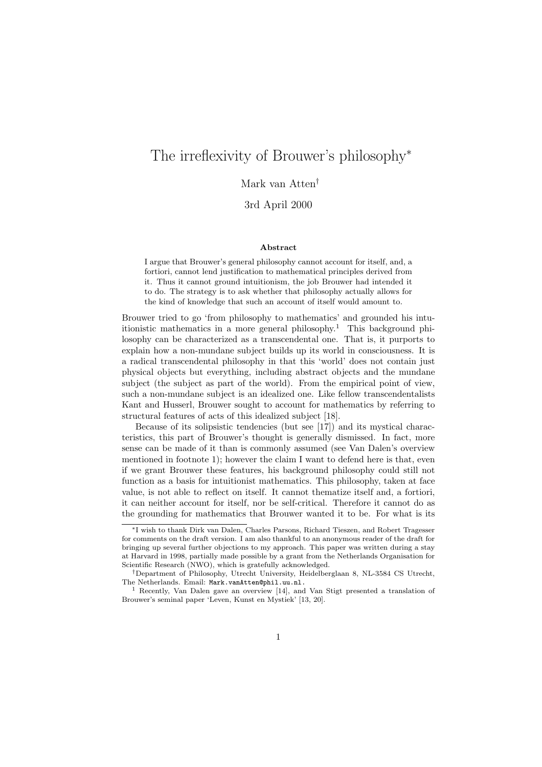## The irreflexivity of Brouwer's philosophy<sup>∗</sup>

## Mark van Atten†

3rd April 2000

## **Abstract**

I argue that Brouwer's general philosophy cannot account for itself, and, a fortiori, cannot lend justification to mathematical principles derived from it. Thus it cannot ground intuitionism, the job Brouwer had intended it to do. The strategy is to ask whether that philosophy actually allows for the kind of knowledge that such an account of itself would amount to.

Brouwer tried to go 'from philosophy to mathematics' and grounded his intuitionistic mathematics in a more general philosophy.<sup>1</sup> This background philosophy can be characterized as a transcendental one. That is, it purports to explain how a non-mundane subject builds up its world in consciousness. It is a radical transcendental philosophy in that this 'world' does not contain just physical objects but everything, including abstract objects and the mundane subject (the subject as part of the world). From the empirical point of view, such a non-mundane subject is an idealized one. Like fellow transcendentalists Kant and Husserl, Brouwer sought to account for mathematics by referring to structural features of acts of this idealized subject [18].

Because of its solipsistic tendencies (but see [17]) and its mystical characteristics, this part of Brouwer's thought is generally dismissed. In fact, more sense can be made of it than is commonly assumed (see Van Dalen's overview mentioned in footnote 1); however the claim I want to defend here is that, even if we grant Brouwer these features, his background philosophy could still not function as a basis for intuitionist mathematics. This philosophy, taken at face value, is not able to reflect on itself. It cannot thematize itself and, a fortiori, it can neither account for itself, nor be self-critical. Therefore it cannot do as the grounding for mathematics that Brouwer wanted it to be. For what is its

<sup>∗</sup>I wish to thank Dirk van Dalen, Charles Parsons, Richard Tieszen, and Robert Tragesser for comments on the draft version. I am also thankful to an anonymous reader of the draft for bringing up several further objections to my approach. This paper was written during a stay at Harvard in 1998, partially made possible by a grant from the Netherlands Organisation for Scientific Research (NWO), which is gratefully acknowledged.

<sup>†</sup>Department of Philosophy, Utrecht University, Heidelberglaan 8, NL-3584 CS Utrecht, The Netherlands. Email: Mark.vanAtten@phil.uu.nl.

<sup>1</sup> Recently, Van Dalen gave an overview [14], and Van Stigt presented a translation of Brouwer's seminal paper 'Leven, Kunst en Mystiek' [13, 20].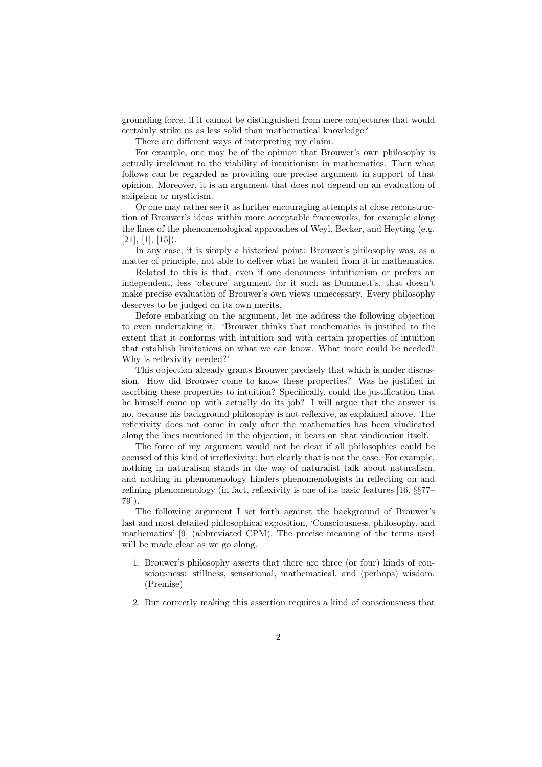grounding force, if it cannot be distinguished from mere conjectures that would certainly strike us as less solid than mathematical knowledge?

There are different ways of interpreting my claim.

For example, one may be of the opinion that Brouwer's own philosophy is actually irrelevant to the viability of intuitionism in mathematics. Then what follows can be regarded as providing one precise argument in support of that opinion. Moreover, it is an argument that does not depend on an evaluation of solipsism or mysticism.

Or one may rather see it as further encouraging attempts at close reconstruction of Brouwer's ideas within more acceptable frameworks, for example along the lines of the phenomenological approaches of Weyl, Becker, and Heyting (e.g.  $[21]$ ,  $[1]$ ,  $[15]$ ).

In any case, it is simply a historical point: Brouwer's philosophy was, as a matter of principle, not able to deliver what he wanted from it in mathematics.

Related to this is that, even if one denounces intuitionism or prefers an independent, less 'obscure' argument for it such as Dummett's, that doesn't make precise evaluation of Brouwer's own views unnecessary. Every philosophy deserves to be judged on its own merits.

Before embarking on the argument, let me address the following objection to even undertaking it. 'Brouwer thinks that mathematics is justified to the extent that it conforms with intuition and with certain properties of intuition that establish limitations on what we can know. What more could be needed? Why is reflexivity needed?'

This objection already grants Brouwer precisely that which is under discussion. How did Brouwer come to know these properties? Was he justified in ascribing these properties to intuition? Specifically, could the justification that he himself came up with actually do its job? I will argue that the answer is no, because his background philosophy is not reflexive, as explained above. The reflexivity does not come in only after the mathematics has been vindicated along the lines mentioned in the objection, it bears on that vindication itself.

The force of my argument would not be clear if all philosophies could be accused of this kind of irreflexivity; but clearly that is not the case. For example, nothing in naturalism stands in the way of naturalist talk about naturalism, and nothing in phenomenology hinders phenomenologists in reflecting on and refining phenomenology (in fact, reflexivity is one of its basic features [16, §§77– 79]).

The following argument I set forth against the background of Brouwer's last and most detailed philosophical exposition, 'Consciousness, philosophy, and mathematics' [9] (abbreviated CPM). The precise meaning of the terms used will be made clear as we go along.

- 1. Brouwer's philosophy asserts that there are three (or four) kinds of consciousness: stillness, sensational, mathematical, and (perhaps) wisdom. (Premise)
- 2. But correctly making this assertion requires a kind of consciousness that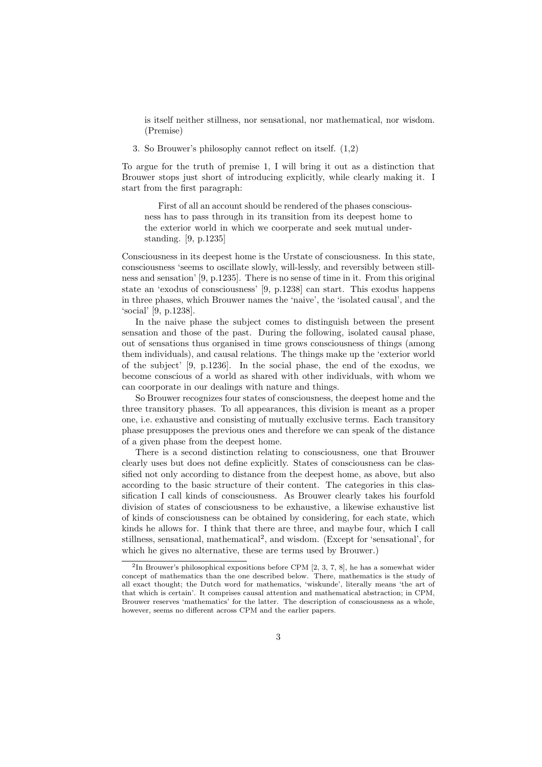is itself neither stillness, nor sensational, nor mathematical, nor wisdom. (Premise)

3. So Brouwer's philosophy cannot reflect on itself. (1,2)

To argue for the truth of premise 1, I will bring it out as a distinction that Brouwer stops just short of introducing explicitly, while clearly making it. I start from the first paragraph:

First of all an account should be rendered of the phases consciousness has to pass through in its transition from its deepest home to the exterior world in which we coorperate and seek mutual understanding. [9, p.1235]

Consciousness in its deepest home is the Urstate of consciousness. In this state, consciousness 'seems to oscillate slowly, will-lessly, and reversibly between stillness and sensation' [9, p.1235]. There is no sense of time in it. From this original state an 'exodus of consciousness' [9, p.1238] can start. This exodus happens in three phases, which Brouwer names the 'naive', the 'isolated causal', and the 'social' [9, p.1238].

In the naive phase the subject comes to distinguish between the present sensation and those of the past. During the following, isolated causal phase, out of sensations thus organised in time grows consciousness of things (among them individuals), and causal relations. The things make up the 'exterior world of the subject' [9, p.1236]. In the social phase, the end of the exodus, we become conscious of a world as shared with other individuals, with whom we can coorporate in our dealings with nature and things.

So Brouwer recognizes four states of consciousness, the deepest home and the three transitory phases. To all appearances, this division is meant as a proper one, i.e. exhaustive and consisting of mutually exclusive terms. Each transitory phase presupposes the previous ones and therefore we can speak of the distance of a given phase from the deepest home.

There is a second distinction relating to consciousness, one that Brouwer clearly uses but does not define explicitly. States of consciousness can be classified not only according to distance from the deepest home, as above, but also according to the basic structure of their content. The categories in this classification I call kinds of consciousness. As Brouwer clearly takes his fourfold division of states of consciousness to be exhaustive, a likewise exhaustive list of kinds of consciousness can be obtained by considering, for each state, which kinds he allows for. I think that there are three, and maybe four, which I call stillness, sensational, mathematical<sup>2</sup>, and wisdom. (Except for 'sensational', for which he gives no alternative, these are terms used by Brouwer.)

<sup>&</sup>lt;sup>2</sup>In Brouwer's philosophical expositions before CPM  $[2, 3, 7, 8]$ , he has a somewhat wider concept of mathematics than the one described below. There, mathematics is the study of all exact thought; the Dutch word for mathematics, 'wiskunde', literally means 'the art of that which is certain'. It comprises causal attention and mathematical abstraction; in CPM, Brouwer reserves 'mathematics' for the latter. The description of consciousness as a whole, however, seems no different across CPM and the earlier papers.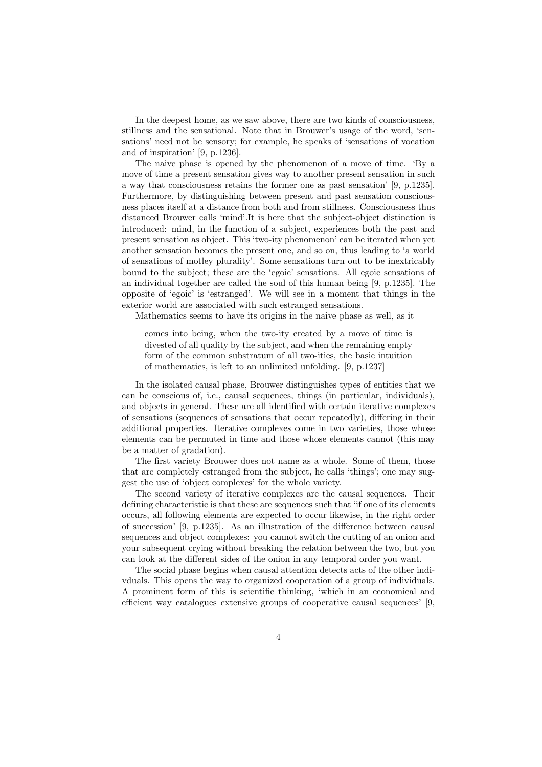In the deepest home, as we saw above, there are two kinds of consciousness, stillness and the sensational. Note that in Brouwer's usage of the word, 'sensations' need not be sensory; for example, he speaks of 'sensations of vocation and of inspiration' [9, p.1236].

The naive phase is opened by the phenomenon of a move of time. 'By a move of time a present sensation gives way to another present sensation in such a way that consciousness retains the former one as past sensation' [9, p.1235]. Furthermore, by distinguishing between present and past sensation consciousness places itself at a distance from both and from stillness. Consciousness thus distanced Brouwer calls 'mind'.It is here that the subject-object distinction is introduced: mind, in the function of a subject, experiences both the past and present sensation as object. This 'two-ity phenomenon' can be iterated when yet another sensation becomes the present one, and so on, thus leading to 'a world of sensations of motley plurality'. Some sensations turn out to be inextricably bound to the subject; these are the 'egoic' sensations. All egoic sensations of an individual together are called the soul of this human being [9, p.1235]. The opposite of 'egoic' is 'estranged'. We will see in a moment that things in the exterior world are associated with such estranged sensations.

Mathematics seems to have its origins in the naive phase as well, as it

comes into being, when the two-ity created by a move of time is divested of all quality by the subject, and when the remaining empty form of the common substratum of all two-ities, the basic intuition of mathematics, is left to an unlimited unfolding. [9, p.1237]

In the isolated causal phase, Brouwer distinguishes types of entities that we can be conscious of, i.e., causal sequences, things (in particular, individuals), and objects in general. These are all identified with certain iterative complexes of sensations (sequences of sensations that occur repeatedly), differing in their additional properties. Iterative complexes come in two varieties, those whose elements can be permuted in time and those whose elements cannot (this may be a matter of gradation).

The first variety Brouwer does not name as a whole. Some of them, those that are completely estranged from the subject, he calls 'things'; one may suggest the use of 'object complexes' for the whole variety.

The second variety of iterative complexes are the causal sequences. Their defining characteristic is that these are sequences such that 'if one of its elements occurs, all following elements are expected to occur likewise, in the right order of succession' [9, p.1235]. As an illustration of the difference between causal sequences and object complexes: you cannot switch the cutting of an onion and your subsequent crying without breaking the relation between the two, but you can look at the different sides of the onion in any temporal order you want.

The social phase begins when causal attention detects acts of the other indivduals. This opens the way to organized cooperation of a group of individuals. A prominent form of this is scientific thinking, 'which in an economical and efficient way catalogues extensive groups of cooperative causal sequences' [9,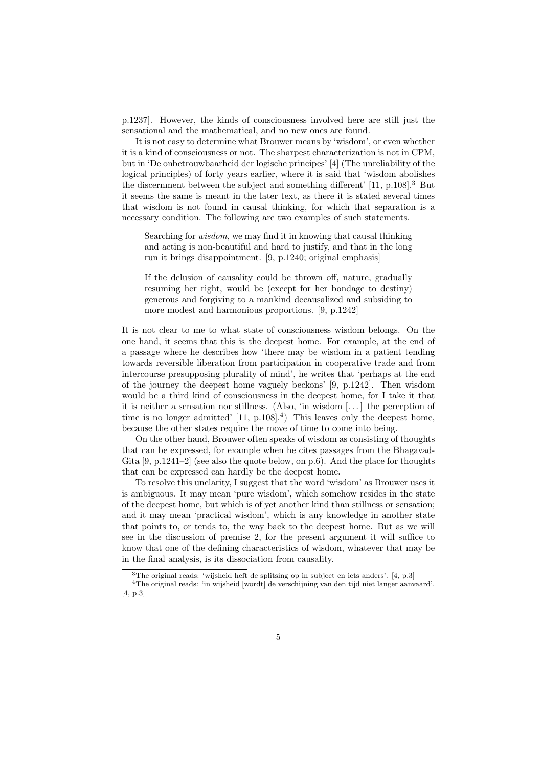p.1237]. However, the kinds of consciousness involved here are still just the sensational and the mathematical, and no new ones are found.

It is not easy to determine what Brouwer means by 'wisdom', or even whether it is a kind of consciousness or not. The sharpest characterization is not in CPM, but in 'De onbetrouwbaarheid der logische principes' [4] (The unreliability of the logical principles) of forty years earlier, where it is said that 'wisdom abolishes the discernment between the subject and something different' [11, p.108].<sup>3</sup> But it seems the same is meant in the later text, as there it is stated several times that wisdom is not found in causal thinking, for which that separation is a necessary condition. The following are two examples of such statements.

Searching for *wisdom*, we may find it in knowing that causal thinking and acting is non-beautiful and hard to justify, and that in the long run it brings disappointment. [9, p.1240; original emphasis]

If the delusion of causality could be thrown off, nature, gradually resuming her right, would be (except for her bondage to destiny) generous and forgiving to a mankind decausalized and subsiding to more modest and harmonious proportions. [9, p.1242]

It is not clear to me to what state of consciousness wisdom belongs. On the one hand, it seems that this is the deepest home. For example, at the end of a passage where he describes how 'there may be wisdom in a patient tending towards reversible liberation from participation in cooperative trade and from intercourse presupposing plurality of mind', he writes that 'perhaps at the end of the journey the deepest home vaguely beckons' [9, p.1242]. Then wisdom would be a third kind of consciousness in the deepest home, for I take it that it is neither a sensation nor stillness. (Also, 'in wisdom [. . . ] the perception of time is no longer admitted'  $[11, p.108]$ <sup>4</sup>) This leaves only the deepest home, because the other states require the move of time to come into being.

On the other hand, Brouwer often speaks of wisdom as consisting of thoughts that can be expressed, for example when he cites passages from the Bhagavad-Gita  $[9, p.1241-2]$  (see also the quote below, on p.6). And the place for thoughts that can be expressed can hardly be the deepest home.

To resolve this unclarity, I suggest that the word 'wisdom' as Brouwer uses it is ambiguous. It may mean 'pure wisdom', which somehow resides in the state of the deepest home, but which is of yet another kind than stillness or sensation; and it may mean 'practical wisdom', which is any knowledge in another state that points to, or tends to, the way back to the deepest home. But as we will see in the discussion of premise 2, for the present argument it will suffice to know that one of the defining characteristics of wisdom, whatever that may be in the final analysis, is its dissociation from causality.

<sup>3</sup>The original reads: 'wijsheid heft de splitsing op in subject en iets anders'. [4, p.3]

<sup>4</sup>The original reads: 'in wijsheid [wordt] de verschijning van den tijd niet langer aanvaard'. [4, p.3]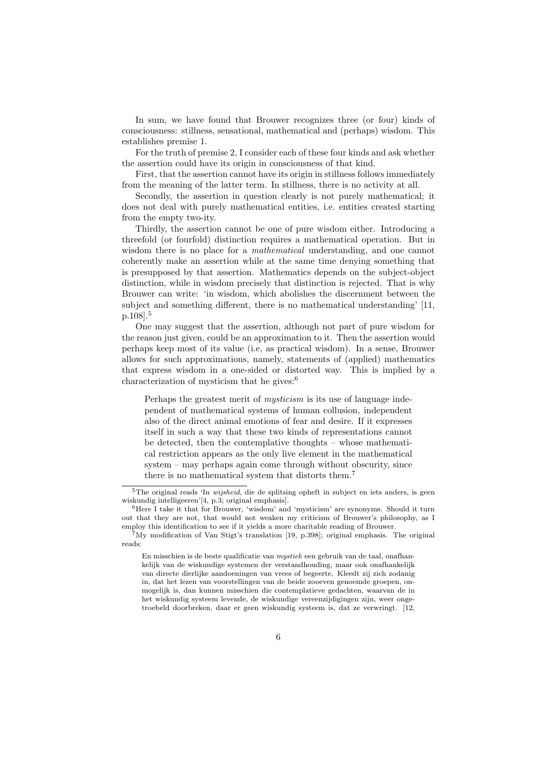In sum, we have found that Brouwer recognizes three (or four) kinds of consciousness: stillness, sensational, mathematical and (perhaps) wisdom. This establishes premise 1.

For the truth of premise 2, I consider each of these four kinds and ask whether the assertion could have its origin in consciousness of that kind.

First, that the assertion cannot have its origin in stillness follows immediately from the meaning of the latter term. In stillness, there is no activity at all.

Secondly, the assertion in question clearly is not purely mathematical; it does not deal with purely mathematical entities, i.e. entities created starting from the empty two-ity.

Thirdly, the assertion cannot be one of pure wisdom either. Introducing a threefold (or fourfold) distinction requires a mathematical operation. But in wisdom there is no place for a *mathematical* understanding, and one cannot coherently make an assertion while at the same time denying something that is presupposed by that assertion. Mathematics depends on the subject-object distinction, while in wisdom precisely that distinction is rejected. That is why Brouwer can write: 'in wisdom, which abolishes the discernment between the subject and something different, there is no mathematical understanding' [11, p.108].<sup>5</sup>

One may suggest that the assertion, although not part of pure wisdom for the reason just given, could be an approximation to it. Then the assertion would perhaps keep most of its value (i.e, as practical wisdom). In a sense, Brouwer allows for such approximations, namely, statements of (applied) mathematics that express wisdom in a one-sided or distorted way. This is implied by a characterization of mysticism that he gives: $6$ 

Perhaps the greatest merit of *mysticism* is its use of language independent of mathematical systems of human collusion, independent also of the direct animal emotions of fear and desire. If it expresses itself in such a way that these two kinds of representations cannot be detected, then the contemplative thoughts – whose mathematical restriction appears as the only live element in the mathematical system – may perhaps again come through without obscurity, since there is no mathematical system that distorts them.<sup>7</sup>

<sup>&</sup>lt;sup>5</sup>The original reads 'In *wijsheid*, die de splitsing opheft in subject en iets anders, is geen wiskundig intelligeeren'[4, p.3; original emphasis].

 ${}^{6}$ Here I take it that for Brouwer, 'wisdom' and 'mysticism' are synonyms. Should it turn out that they are not, that would not weaken my criticism of Brouwer's philosophy, as I employ this identification to see if it yields a more charitable reading of Brouwer.

<sup>7</sup>My modification of Van Stigt's translation [19, p.398]; original emphasis. The original reads:

En misschien is de beste qualificatie van mystiek een gebruik van de taal, onafhankelijk van de wiskundige systemen der verstandhouding, maar ook onafhankelijk van directe dierlijke aandoeningen van vrees of begeerte. Kleedt zij zich zodanig in, dat het lezen van voorstellingen van de beide zooeven genoemde groepen, onmogelijk is, dan kunnen misschien die contemplatieve gedachten, waarvan de in het wiskundig systeem levende, de wiskundige vereenzijdigingen zijn, weer ongetroebeld doorbreken, daar er geen wiskundig systeem is, dat ze verwringt. [12,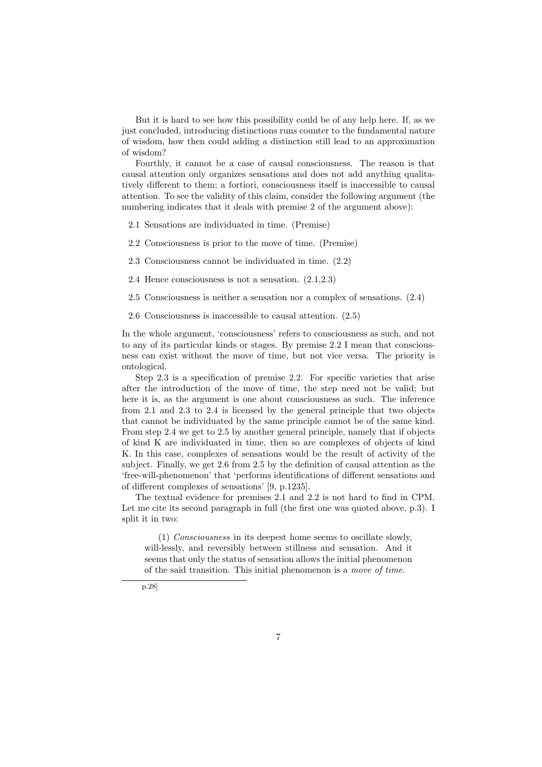But it is hard to see how this possibility could be of any help here. If, as we just concluded, introducing distinctions runs counter to the fundamental nature of wisdom, how then could adding a distinction still lead to an approximation of wisdom?

Fourthly, it cannot be a case of causal consciousness. The reason is that causal attention only organizes sensations and does not add anything qualitatively different to them; a fortiori, consciousness itself is inaccessible to causal attention. To see the validity of this claim, consider the following argument (the numbering indicates that it deals with premise 2 of the argument above):

2.1 Sensations are individuated in time. (Premise)

2.2 Consciousness is prior to the move of time. (Premise)

2.3 Consciousness cannot be individuated in time. (2.2)

2.4 Hence consciousness is not a sensation. (2.1,2.3)

2.5 Consciousness is neither a sensation nor a complex of sensations. (2.4)

2.6 Consciousness is inaccessible to causal attention. (2.5)

In the whole argument, 'consciousness' refers to consciousness as such, and not to any of its particular kinds or stages. By premise 2.2 I mean that consciousness can exist without the move of time, but not vice versa. The priority is ontological.

Step 2.3 is a specification of premise 2.2. For specific varieties that arise after the introduction of the move of time, the step need not be valid; but here it is, as the argument is one about consciousness as such. The inference from 2.1 and 2.3 to 2.4 is licensed by the general principle that two objects that cannot be individuated by the same principle cannot be of the same kind. From step 2.4 we get to 2.5 by another general principle, namely that if objects of kind K are individuated in time, then so are complexes of objects of kind K. In this case, complexes of sensations would be the result of activity of the subject. Finally, we get 2.6 from 2.5 by the definition of causal attention as the 'free-will-phenomenon' that 'performs identifications of different sensations and of different complexes of sensations' [9, p.1235].

The textual evidence for premises 2.1 and 2.2 is not hard to find in CPM. Let me cite its second paragraph in full (the first one was quoted above, p.3). I split it in two:

(1) *Consciousness* in its deepest home seems to oscillate slowly, will-lessly, and reversibly between stillness and sensation. And it seems that only the status of sensation allows the initial phenomenon of the said transition. This initial phenomenon is a *move of time*.

p.28]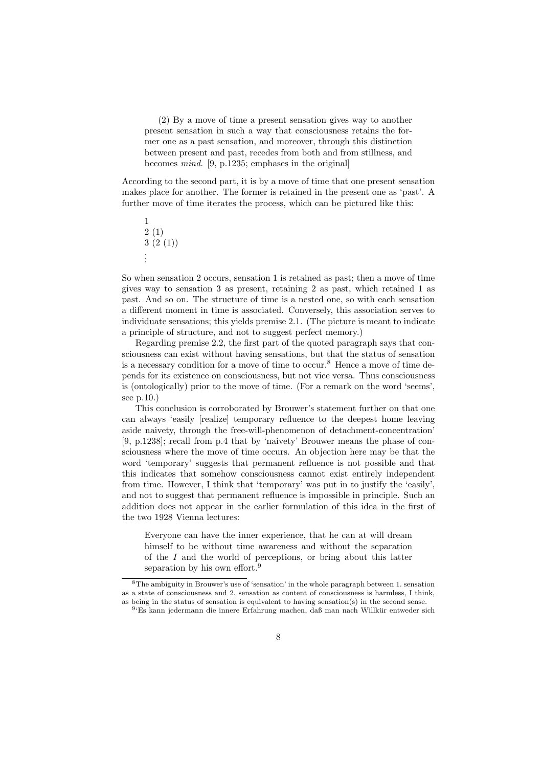(2) By a move of time a present sensation gives way to another present sensation in such a way that consciousness retains the former one as a past sensation, and moreover, through this distinction between present and past, recedes from both and from stillness, and becomes *mind*. [9, p.1235; emphases in the original]

According to the second part, it is by a move of time that one present sensation makes place for another. The former is retained in the present one as 'past'. A further move of time iterates the process, which can be pictured like this:

$$
\begin{array}{c} 1 \\ 2 (1) \\ 3 (2 (1)) \\ \vdots \end{array}
$$

So when sensation 2 occurs, sensation 1 is retained as past; then a move of time gives way to sensation 3 as present, retaining 2 as past, which retained 1 as past. And so on. The structure of time is a nested one, so with each sensation a different moment in time is associated. Conversely, this association serves to individuate sensations; this yields premise 2.1. (The picture is meant to indicate a principle of structure, and not to suggest perfect memory.)

Regarding premise 2.2, the first part of the quoted paragraph says that consciousness can exist without having sensations, but that the status of sensation is a necessary condition for a move of time to occur.<sup>8</sup> Hence a move of time depends for its existence on consciousness, but not vice versa. Thus consciousness is (ontologically) prior to the move of time. (For a remark on the word 'seems', see p.10.)

This conclusion is corroborated by Brouwer's statement further on that one can always 'easily [realize] temporary refluence to the deepest home leaving aside naivety, through the free-will-phenomenon of detachment-concentration' [9, p.1238]; recall from p.4 that by 'naivety' Brouwer means the phase of consciousness where the move of time occurs. An objection here may be that the word 'temporary' suggests that permanent refluence is not possible and that this indicates that somehow consciousness cannot exist entirely independent from time. However, I think that 'temporary' was put in to justify the 'easily', and not to suggest that permanent refluence is impossible in principle. Such an addition does not appear in the earlier formulation of this idea in the first of the two 1928 Vienna lectures:

Everyone can have the inner experience, that he can at will dream himself to be without time awareness and without the separation of the  $I$  and the world of perceptions, or bring about this latter separation by his own effort.<sup>9</sup>

<sup>8</sup>The ambiguity in Brouwer's use of 'sensation' in the whole paragraph between 1. sensation as a state of consciousness and 2. sensation as content of consciousness is harmless, I think, as being in the status of sensation is equivalent to having sensation(s) in the second sense.

<sup>9&#</sup>x27;Es kann jedermann die innere Erfahrung machen, daß man nach Willkür entweder sich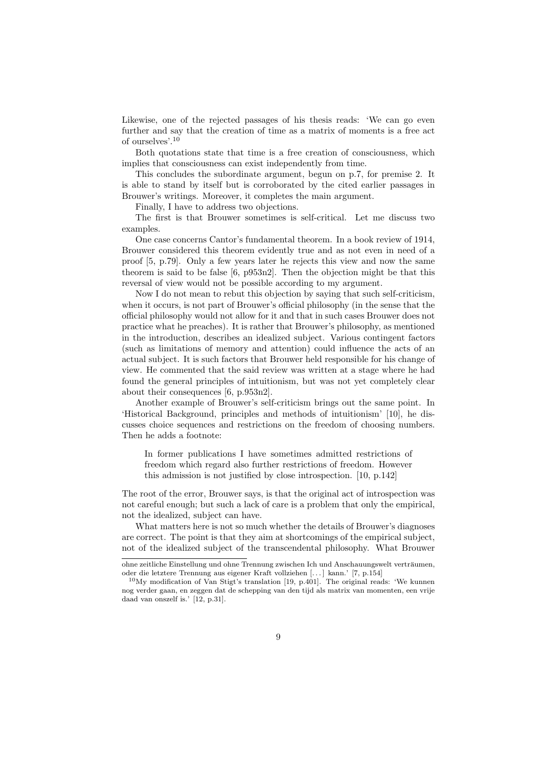Likewise, one of the rejected passages of his thesis reads: 'We can go even further and say that the creation of time as a matrix of moments is a free act of ourselves'.<sup>10</sup>

Both quotations state that time is a free creation of consciousness, which implies that consciousness can exist independently from time.

This concludes the subordinate argument, begun on p.7, for premise 2. It is able to stand by itself but is corroborated by the cited earlier passages in Brouwer's writings. Moreover, it completes the main argument.

Finally, I have to address two objections.

The first is that Brouwer sometimes is self-critical. Let me discuss two examples.

One case concerns Cantor's fundamental theorem. In a book review of 1914, Brouwer considered this theorem evidently true and as not even in need of a proof [5, p.79]. Only a few years later he rejects this view and now the same theorem is said to be false [6, p953n2]. Then the objection might be that this reversal of view would not be possible according to my argument.

Now I do not mean to rebut this objection by saying that such self-criticism, when it occurs, is not part of Brouwer's official philosophy (in the sense that the official philosophy would not allow for it and that in such cases Brouwer does not practice what he preaches). It is rather that Brouwer's philosophy, as mentioned in the introduction, describes an idealized subject. Various contingent factors (such as limitations of memory and attention) could influence the acts of an actual subject. It is such factors that Brouwer held responsible for his change of view. He commented that the said review was written at a stage where he had found the general principles of intuitionism, but was not yet completely clear about their consequences [6, p.953n2].

Another example of Brouwer's self-criticism brings out the same point. In 'Historical Background, principles and methods of intuitionism' [10], he discusses choice sequences and restrictions on the freedom of choosing numbers. Then he adds a footnote:

In former publications I have sometimes admitted restrictions of freedom which regard also further restrictions of freedom. However this admission is not justified by close introspection. [10, p.142]

The root of the error, Brouwer says, is that the original act of introspection was not careful enough; but such a lack of care is a problem that only the empirical, not the idealized, subject can have.

What matters here is not so much whether the details of Brouwer's diagnoses are correct. The point is that they aim at shortcomings of the empirical subject, not of the idealized subject of the transcendental philosophy. What Brouwer

ohne zeitliche Einstellung und ohne Trennung zwischen Ich und Anschauungswelt verträumen. oder die letztere Trennung aus eigener Kraft vollziehen [...] kann.' [7, p.154]

 $10$ My modification of Van Stigt's translation [19, p.401]. The original reads: 'We kunnen nog verder gaan, en zeggen dat de schepping van den tijd als matrix van momenten, een vrije daad van onszelf is.' [12, p.31].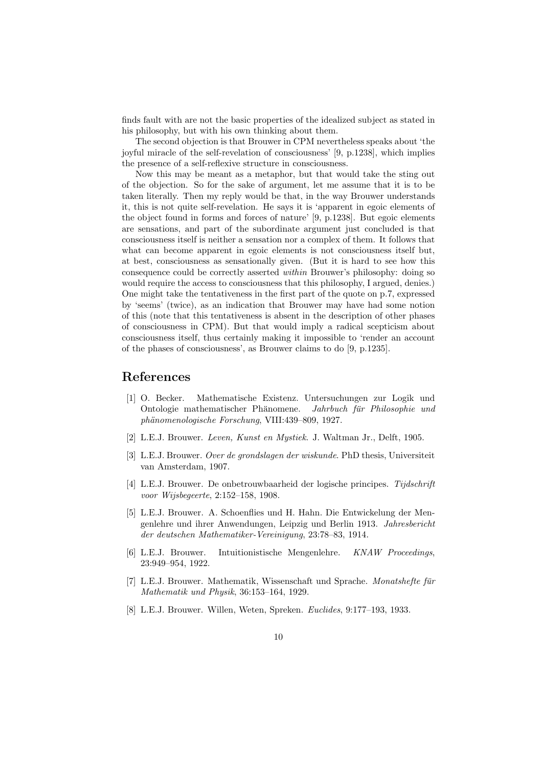finds fault with are not the basic properties of the idealized subject as stated in his philosophy, but with his own thinking about them.

The second objection is that Brouwer in CPM nevertheless speaks about 'the joyful miracle of the self-revelation of consciousness' [9, p.1238], which implies the presence of a self-reflexive structure in consciousness.

Now this may be meant as a metaphor, but that would take the sting out of the objection. So for the sake of argument, let me assume that it is to be taken literally. Then my reply would be that, in the way Brouwer understands it, this is not quite self-revelation. He says it is 'apparent in egoic elements of the object found in forms and forces of nature' [9, p.1238]. But egoic elements are sensations, and part of the subordinate argument just concluded is that consciousness itself is neither a sensation nor a complex of them. It follows that what can become apparent in egoic elements is not consciousness itself but, at best, consciousness as sensationally given. (But it is hard to see how this consequence could be correctly asserted *within* Brouwer's philosophy: doing so would require the access to consciousness that this philosophy, I argued, denies.) One might take the tentativeness in the first part of the quote on p.7, expressed by 'seems' (twice), as an indication that Brouwer may have had some notion of this (note that this tentativeness is absent in the description of other phases of consciousness in CPM). But that would imply a radical scepticism about consciousness itself, thus certainly making it impossible to 'render an account of the phases of consciousness', as Brouwer claims to do [9, p.1235].

## **References**

- [1] O. Becker. Mathematische Existenz. Untersuchungen zur Logik und Ontologie mathematischer Ph¨anomene. *Jahrbuch fur Philosophie und ¨ ph¨anomenologische Forschung*, VIII:439–809, 1927.
- [2] L.E.J. Brouwer. *Leven, Kunst en Mystiek*. J. Waltman Jr., Delft, 1905.
- [3] L.E.J. Brouwer. *Over de grondslagen der wiskunde*. PhD thesis, Universiteit van Amsterdam, 1907.
- [4] L.E.J. Brouwer. De onbetrouwbaarheid der logische principes. *Tijdschrift voor Wijsbegeerte*, 2:152–158, 1908.
- [5] L.E.J. Brouwer. A. Schoenflies und H. Hahn. Die Entwickelung der Mengenlehre und ihrer Anwendungen, Leipzig und Berlin 1913. *Jahresbericht der deutschen Mathematiker-Vereinigung*, 23:78–83, 1914.
- [6] L.E.J. Brouwer. Intuitionistische Mengenlehre. *KNAW Proceedings*, 23:949–954, 1922.
- [7] L.E.J. Brouwer. Mathematik, Wissenschaft und Sprache. *Monatshefte fur ¨ Mathematik und Physik*, 36:153–164, 1929.
- [8] L.E.J. Brouwer. Willen, Weten, Spreken. *Euclides*, 9:177–193, 1933.